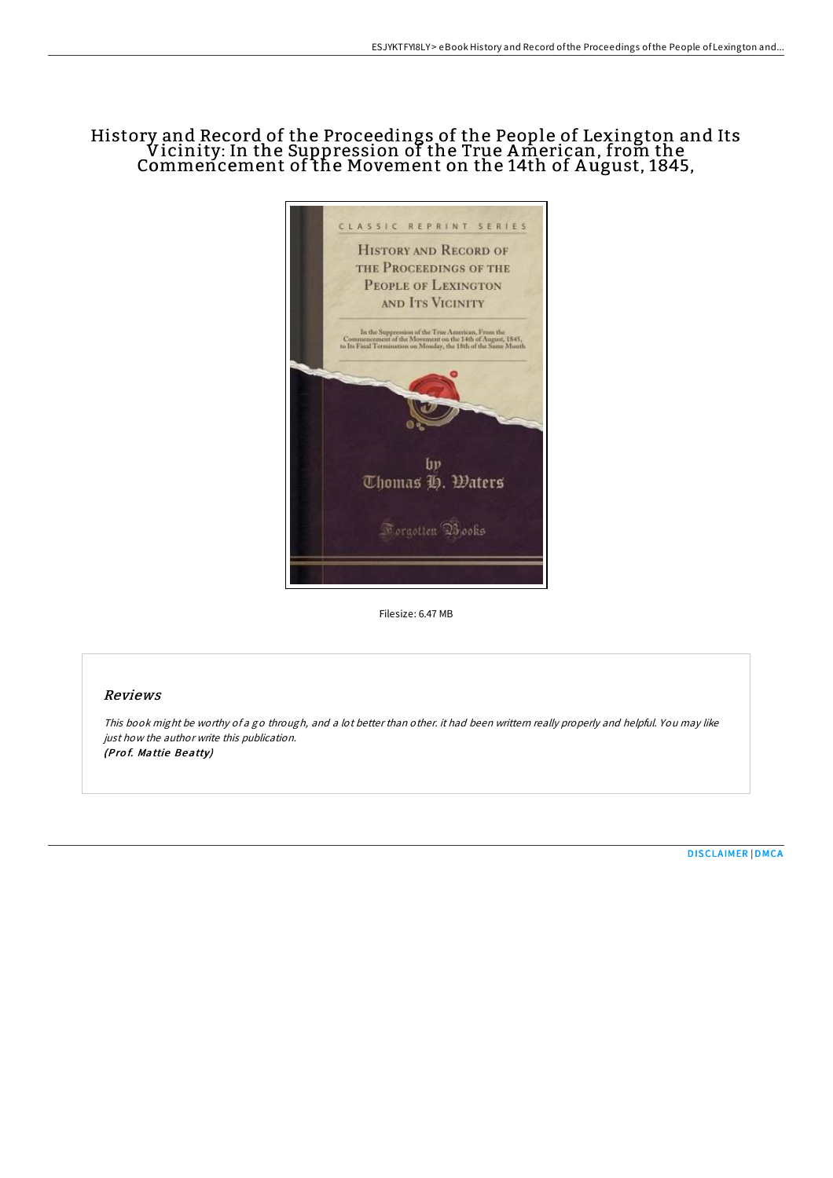## History and Record of the Proceedings of the People of Lexington and Its Vicinity: In the Suppression of the True American, from the Commencement of the Movement on the 14th of A ugust, 1845,



Filesize: 6.47 MB

## Reviews

This book might be worthy of <sup>a</sup> go through, and <sup>a</sup> lot better than other. it had been writtern really properly and helpful. You may like just how the author write this publication. (Prof. Mattie Beatty)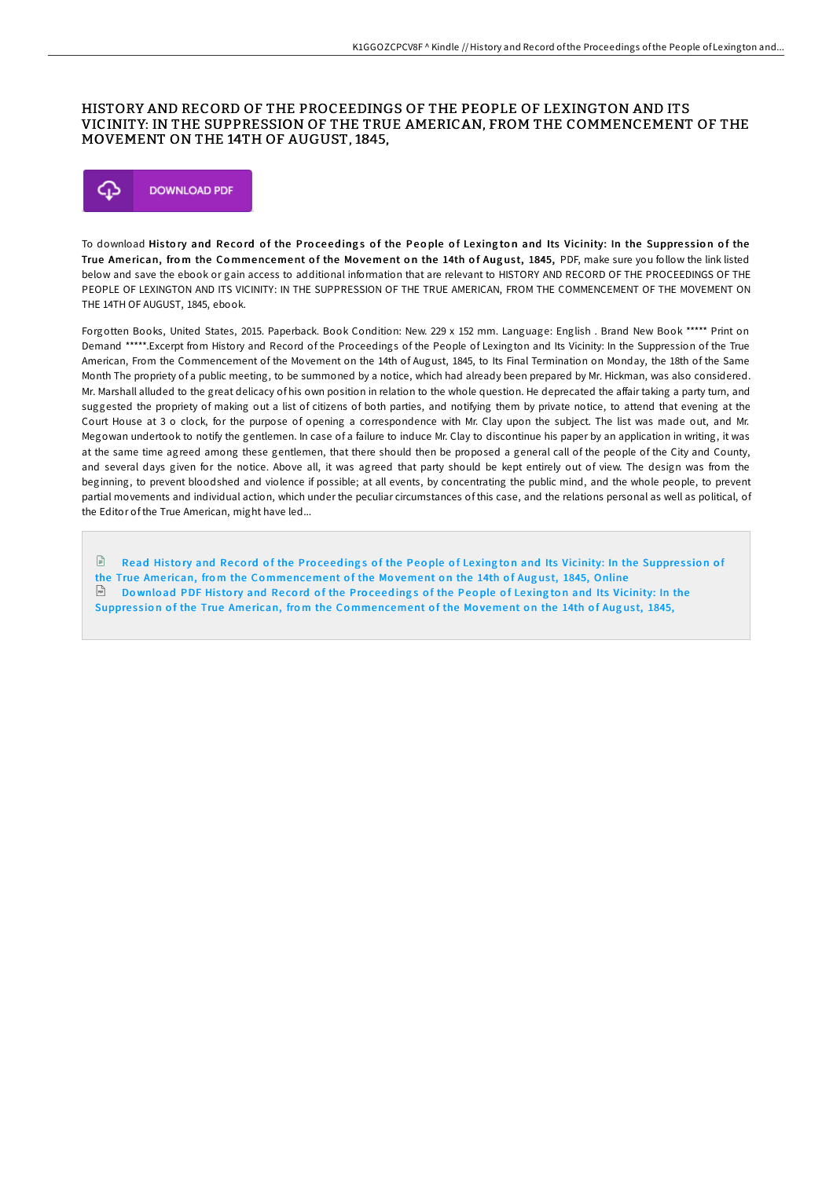## HISTORY AND RECORD OF THE PROCEEDINGS OF THE PEOPLE OF LEXINGTON AND ITS VICINITY: IN THE SUPPRESSION OF THE TRUE AMERICAN, FROM THE COMMENCEMENT OF THE MOVEMENT ON THE 14TH OF AUGUST, 1845,



To download History and Record of the Proceedings of the People of Lexington and Its Vicinity: In the Suppression of the True American, from the Commencement of the Movement on the 14th of August, 1845, PDF, make sure you follow the link listed below and save the ebook or gain access to additional information that are relevant to HISTORY AND RECORD OF THE PROCEEDINGS OF THE PEOPLE OF LEXINGTON AND ITS VICINITY: IN THE SUPPRESSION OF THE TRUE AMERICAN, FROM THE COMMENCEMENT OF THE MOVEMENT ON THE 14TH OF AUGUST, 1845, ebook.

Forgotten Books, United States, 2015. Paperback. Book Condition: New. 229 x 152 mm. Language: English . Brand New Book \*\*\*\*\* Print on Demand \*\*\*\*\*.Excerpt from History and Record of the Proceedings of the People of Lexington and Its Vicinity: In the Suppression of the True American, From the Commencement of the Movement on the 14th of August, 1845, to Its Final Termination on Monday, the 18th of the Same Month The propriety of a public meeting, to be summoned by a notice, which had already been prepared by Mr. Hickman, was also considered. Mr. Marshall alluded to the great delicacy of his own position in relation to the whole question. He deprecated the affair taking a party turn, and suggested the propriety of making out a list of citizens of both parties, and notifying them by private notice, to attend that evening at the Court House at 3 o clock, for the purpose of opening a correspondence with Mr. Clay upon the subject. The list was made out, and Mr. Megowan undertook to notify the gentlemen. In case of a failure to induce Mr. Clay to discontinue his paper by an application in writing, it was at the same time agreed among these gentlemen, that there should then be proposed a general call of the people of the City and County, and several days given for the notice. Above all, it was agreed that party should be kept entirely out of view. The design was from the beginning, to prevent bloodshed and violence if possible; at all events, by concentrating the public mind, and the whole people, to prevent partial movements and individual action, which under the peculiar circumstances of this case, and the relations personal as well as political, of the Editor of the True American, might have led...

Read History and Record of the Proceedings of the People of Lexington and Its Vicinity: In the Suppression of the True American, from the Co[mmencement](http://almighty24.tech/history-and-record-of-the-proceedings-of-the-peo.html) of the Movement on the 14th of August, 1845, Online  $\Box$  Download PDF History and Record of the Proceedings of the People of Lexington and Its Vicinity: In the Suppression of the True American, from the Co[mmencement](http://almighty24.tech/history-and-record-of-the-proceedings-of-the-peo.html) of the Movement on the 14th of August, 1845,